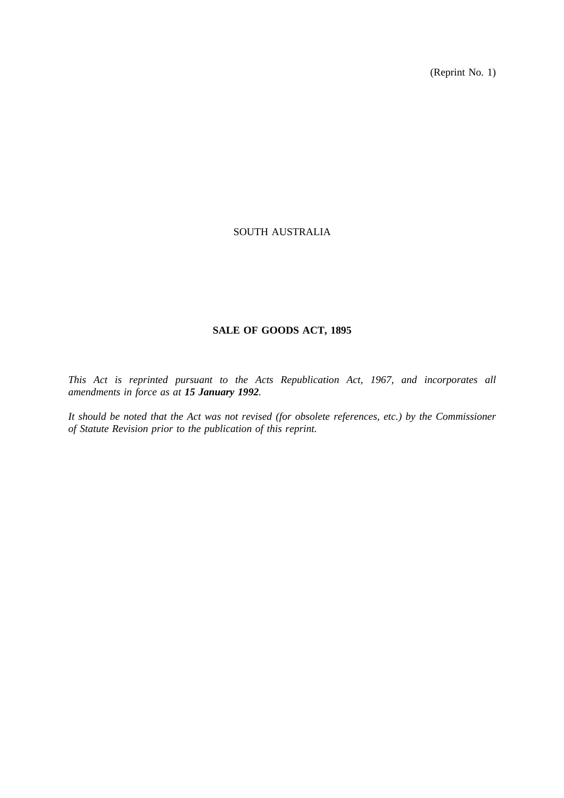(Reprint No. 1)

# SOUTH AUSTRALIA

# **SALE OF GOODS ACT, 1895**

*This Act is reprinted pursuant to the Acts Republication Act, 1967, and incorporates all amendments in force as at 15 January 1992.*

*It should be noted that the Act was not revised (for obsolete references, etc.) by the Commissioner of Statute Revision prior to the publication of this reprint.*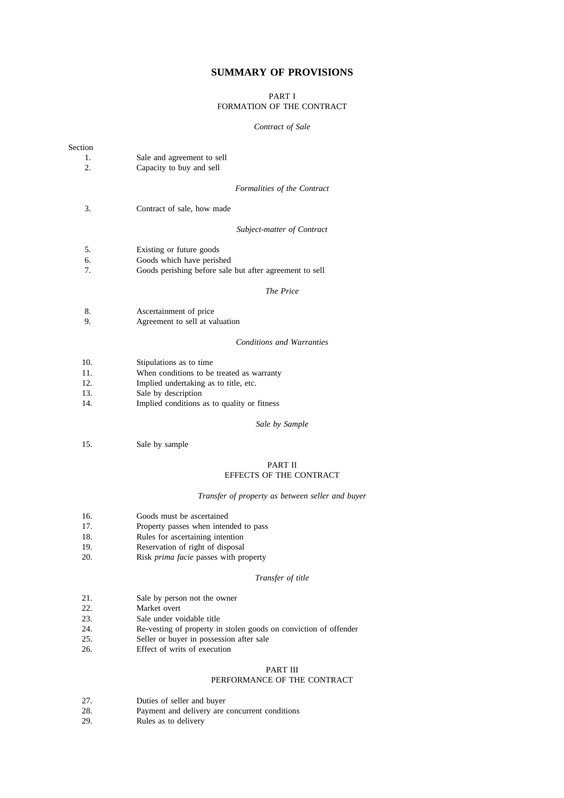## **SUMMARY OF PROVISIONS**

#### PART I

### FORMATION OF THE CONTRACT

#### *Contract of Sale*

#### Section

- 1. Sale and agreement to sell
- 2. Capacity to buy and sell

#### *Formalities of the Contract*

3. Contract of sale, how made

#### *Subject-matter of Contract*

- 5. Existing or future goods
- 6. Goods which have perished
- 7. Goods perishing before sale but after agreement to sell

#### *The Price*

- 8. Ascertainment of price
- 9. Agreement to sell at valuation

#### *Conditions and Warranties*

| 10. | Stipulations as to time                   |
|-----|-------------------------------------------|
| 11. | When conditions to be treated as warranty |

- 12. Implied undertaking as to title, etc.
- 13. Sale by description
- 14. Implied conditions as to quality or fitness

#### *Sale by Sample*

15. Sale by sample

## PART II EFFECTS OF THE CONTRACT

*Transfer of property as between seller and buyer*

- 16. Goods must be ascertained
- 17. Property passes when intended to pass
- 18. Rules for ascertaining intention
- 19. Reservation of right of disposal<br>20. Risk *prima facie* passes with pr
- Risk *prima facie* passes with property

## *Transfer of title*

- 21. Sale by person not the owner
- 22. Market overt
- 23. Sale under voidable title<br>
24. Re-vesting of property in
- 24. Re-vesting of property in stolen goods on conviction of offender 25.<br>Seller or buver in possession after sale
- 25. Seller or buyer in possession after sale<br>26. Effect of writs of execution
- Effect of writs of execution

# PART III

# PERFORMANCE OF THE CONTRACT

- 27. Duties of seller and buyer<br>28. Payment and delivery are
- Payment and delivery are concurrent conditions
- 29. Rules as to delivery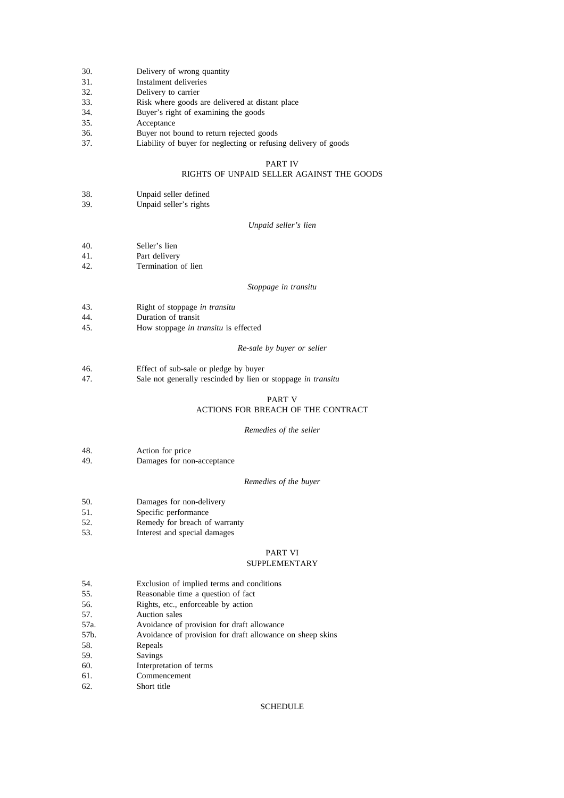30. Delivery of wrong quantity

- 31. Instalment deliveries
- 32. Delivery to carrier
- 33. Risk where goods are delivered at distant place
- 34. Buyer's right of examining the goods
- 35. Acceptance
- 36. Buyer not bound to return rejected goods
- 37. Liability of buyer for neglecting or refusing delivery of goods

#### PART IV

## RIGHTS OF UNPAID SELLER AGAINST THE GOODS

38. Unpaid seller defined 39. Unpaid seller's rights

#### *Unpaid seller's lien*

- 40. Seller's lien
- 41. Part delivery
- 42. Termination of lien

#### *Stoppage in transitu*

- 43. Right of stoppage *in transitu*
- 44. Duration of transit<br>45. How stoppage in the
- 45. How stoppage *in transitu* is effected

### *Re-sale by buyer or seller*

- 46. Effect of sub-sale or pledge by buyer<br>47. Sale not generally rescinded by lien c
- Sale not generally rescinded by lien or stoppage *in transitu*

## PART V ACTIONS FOR BREACH OF THE CONTRACT

### *Remedies of the seller*

- 48. Action for price
- 49. Damages for non-acceptance

#### *Remedies of the buyer*

- 50. Damages for non-delivery
- 51. Specific performance
- 52. Remedy for breach of warranty
- 53. Interest and special damages

### PART VI SUPPLEMENTARY

- 54. Exclusion of implied terms and conditions
- 55. Reasonable time a question of fact
- 56. Rights, etc., enforceable by action
- 57. Auction sales
- 57a. Avoidance of provision for draft allowance
- 57b. Avoidance of provision for draft allowance on sheep skins
- 58. Repeals
- 59. Savings
- 60. Interpretation of terms
- 61. Commencement
- 62. Short title

### **SCHEDULE**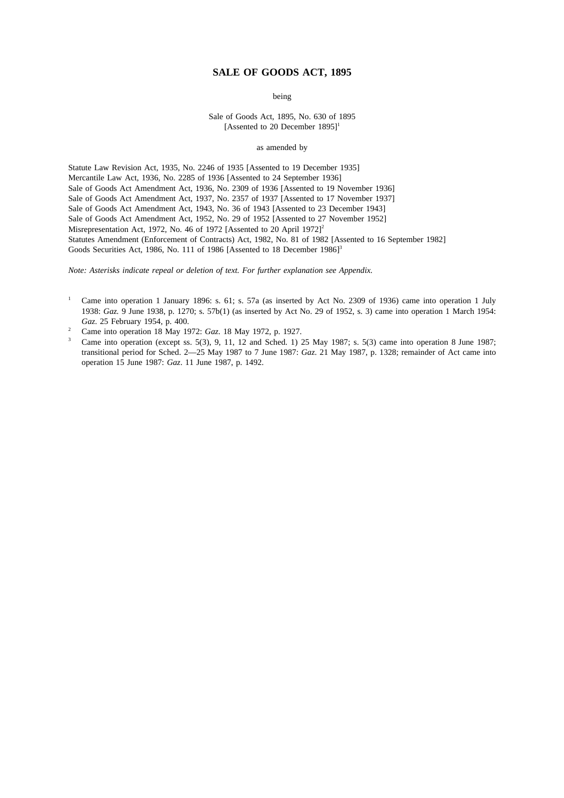## **SALE OF GOODS ACT, 1895**

being

#### Sale of Goods Act, 1895, No. 630 of 1895 [Assented to 20 December  $1895$ ]<sup>1</sup>

#### as amended by

Statute Law Revision Act, 1935, No. 2246 of 1935 [Assented to 19 December 1935] Mercantile Law Act, 1936, No. 2285 of 1936 [Assented to 24 September 1936] Sale of Goods Act Amendment Act, 1936, No. 2309 of 1936 [Assented to 19 November 1936] Sale of Goods Act Amendment Act, 1937, No. 2357 of 1937 [Assented to 17 November 1937] Sale of Goods Act Amendment Act, 1943, No. 36 of 1943 [Assented to 23 December 1943] Sale of Goods Act Amendment Act, 1952, No. 29 of 1952 [Assented to 27 November 1952] Misrepresentation Act, 1972, No. 46 of 1972 [Assented to 20 April 1972]<sup>2</sup> Statutes Amendment (Enforcement of Contracts) Act, 1982, No. 81 of 1982 [Assented to 16 September 1982] Goods Securities Act, 1986, No. 111 of 1986 [Assented to 18 December 1986]<sup>3</sup>

*Note: Asterisks indicate repeal or deletion of text. For further explanation see Appendix.*

- <sup>1</sup> Came into operation 1 January 1896: s. 61; s. 57a (as inserted by Act No. 2309 of 1936) came into operation 1 July 1938: *Gaz.* 9 June 1938, p. 1270; s. 57b(1) (as inserted by Act No. 29 of 1952, s. 3) came into operation 1 March 1954: *Gaz*. 25 February 1954, p. 400.
- <sup>2</sup> Came into operation 18 May 1972: *Gaz*. 18 May 1972, p. 1927.
- <sup>3</sup> Came into operation (except ss. 5(3), 9, 11, 12 and Sched. 1) 25 May 1987; s. 5(3) came into operation 8 June 1987; transitional period for Sched. 2—25 May 1987 to 7 June 1987: *Gaz*. 21 May 1987, p. 1328; remainder of Act came into operation 15 June 1987: *Gaz*. 11 June 1987, p. 1492.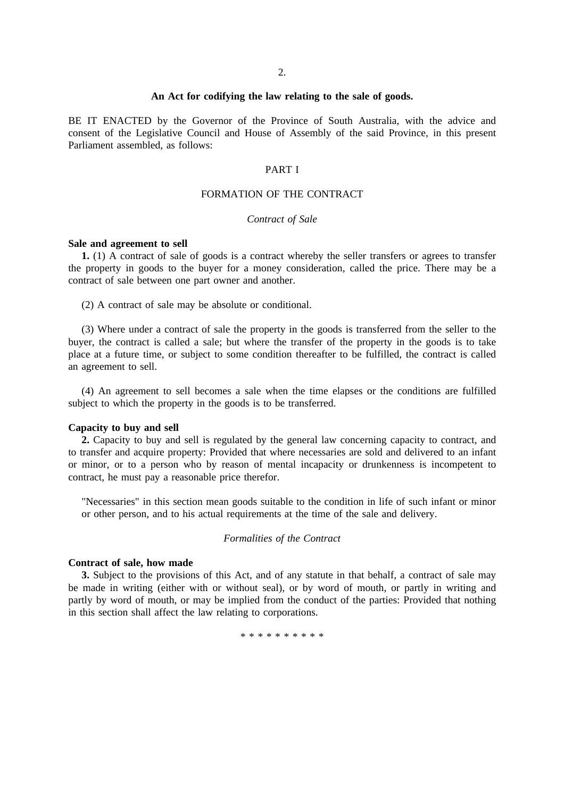## **An Act for codifying the law relating to the sale of goods.**

BE IT ENACTED by the Governor of the Province of South Australia, with the advice and consent of the Legislative Council and House of Assembly of the said Province, in this present Parliament assembled, as follows:

## PART I

## FORMATION OF THE CONTRACT

## *Contract of Sale*

### **Sale and agreement to sell**

**1.** (1) A contract of sale of goods is a contract whereby the seller transfers or agrees to transfer the property in goods to the buyer for a money consideration, called the price. There may be a contract of sale between one part owner and another.

(2) A contract of sale may be absolute or conditional.

(3) Where under a contract of sale the property in the goods is transferred from the seller to the buyer, the contract is called a sale; but where the transfer of the property in the goods is to take place at a future time, or subject to some condition thereafter to be fulfilled, the contract is called an agreement to sell.

(4) An agreement to sell becomes a sale when the time elapses or the conditions are fulfilled subject to which the property in the goods is to be transferred.

### **Capacity to buy and sell**

**2.** Capacity to buy and sell is regulated by the general law concerning capacity to contract, and to transfer and acquire property: Provided that where necessaries are sold and delivered to an infant or minor, or to a person who by reason of mental incapacity or drunkenness is incompetent to contract, he must pay a reasonable price therefor.

"Necessaries" in this section mean goods suitable to the condition in life of such infant or minor or other person, and to his actual requirements at the time of the sale and delivery.

### *Formalities of the Contract*

### **Contract of sale, how made**

**3.** Subject to the provisions of this Act, and of any statute in that behalf, a contract of sale may be made in writing (either with or without seal), or by word of mouth, or partly in writing and partly by word of mouth, or may be implied from the conduct of the parties: Provided that nothing in this section shall affect the law relating to corporations.

\* \* \* \* \* \* \* \* \*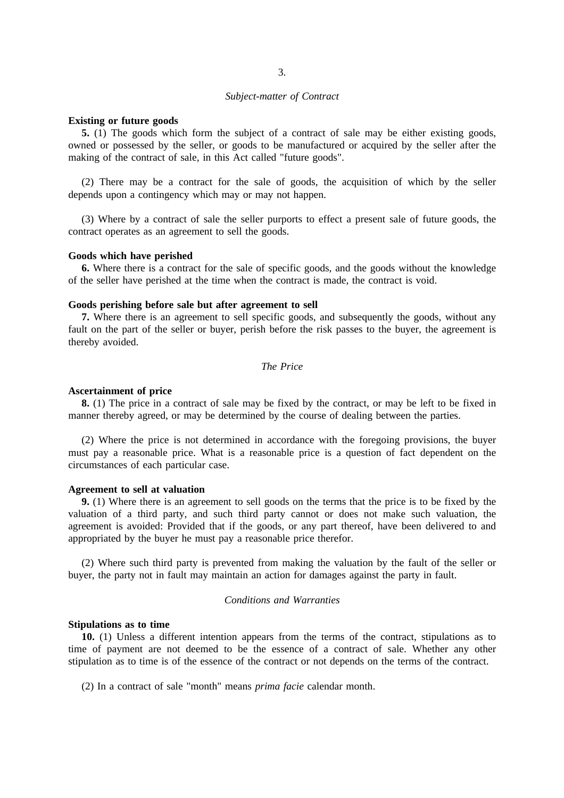## *Subject-matter of Contract*

## **Existing or future goods**

**5.** (1) The goods which form the subject of a contract of sale may be either existing goods, owned or possessed by the seller, or goods to be manufactured or acquired by the seller after the making of the contract of sale, in this Act called "future goods".

(2) There may be a contract for the sale of goods, the acquisition of which by the seller depends upon a contingency which may or may not happen.

(3) Where by a contract of sale the seller purports to effect a present sale of future goods, the contract operates as an agreement to sell the goods.

## **Goods which have perished**

**6.** Where there is a contract for the sale of specific goods, and the goods without the knowledge of the seller have perished at the time when the contract is made, the contract is void.

### **Goods perishing before sale but after agreement to sell**

**7.** Where there is an agreement to sell specific goods, and subsequently the goods, without any fault on the part of the seller or buyer, perish before the risk passes to the buyer, the agreement is thereby avoided.

*The Price*

## **Ascertainment of price**

**8.** (1) The price in a contract of sale may be fixed by the contract, or may be left to be fixed in manner thereby agreed, or may be determined by the course of dealing between the parties.

(2) Where the price is not determined in accordance with the foregoing provisions, the buyer must pay a reasonable price. What is a reasonable price is a question of fact dependent on the circumstances of each particular case.

## **Agreement to sell at valuation**

**9.** (1) Where there is an agreement to sell goods on the terms that the price is to be fixed by the valuation of a third party, and such third party cannot or does not make such valuation, the agreement is avoided: Provided that if the goods, or any part thereof, have been delivered to and appropriated by the buyer he must pay a reasonable price therefor.

(2) Where such third party is prevented from making the valuation by the fault of the seller or buyer, the party not in fault may maintain an action for damages against the party in fault.

# *Conditions and Warranties*

## **Stipulations as to time**

**10.** (1) Unless a different intention appears from the terms of the contract, stipulations as to time of payment are not deemed to be the essence of a contract of sale. Whether any other stipulation as to time is of the essence of the contract or not depends on the terms of the contract.

(2) In a contract of sale "month" means *prima facie* calendar month.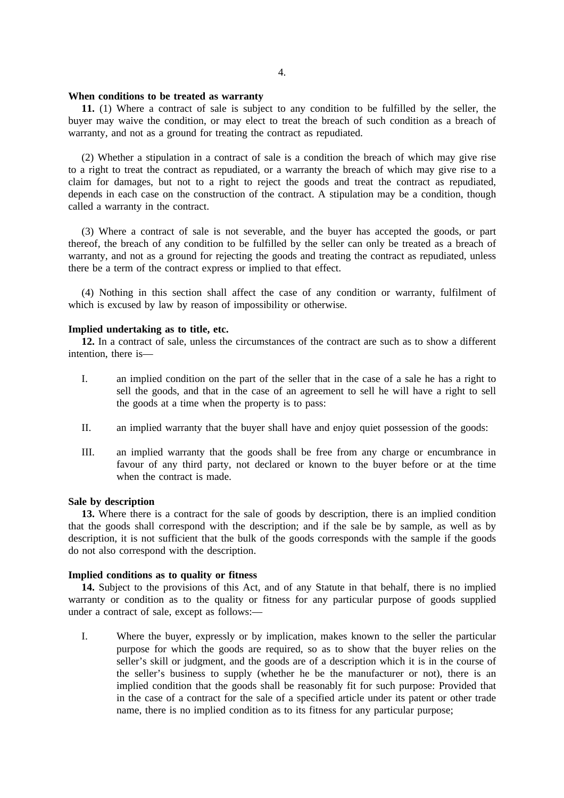### **When conditions to be treated as warranty**

**11.** (1) Where a contract of sale is subject to any condition to be fulfilled by the seller, the buyer may waive the condition, or may elect to treat the breach of such condition as a breach of warranty, and not as a ground for treating the contract as repudiated.

(2) Whether a stipulation in a contract of sale is a condition the breach of which may give rise to a right to treat the contract as repudiated, or a warranty the breach of which may give rise to a claim for damages, but not to a right to reject the goods and treat the contract as repudiated, depends in each case on the construction of the contract. A stipulation may be a condition, though called a warranty in the contract.

(3) Where a contract of sale is not severable, and the buyer has accepted the goods, or part thereof, the breach of any condition to be fulfilled by the seller can only be treated as a breach of warranty, and not as a ground for rejecting the goods and treating the contract as repudiated, unless there be a term of the contract express or implied to that effect.

(4) Nothing in this section shall affect the case of any condition or warranty, fulfilment of which is excused by law by reason of impossibility or otherwise.

## **Implied undertaking as to title, etc.**

**12.** In a contract of sale, unless the circumstances of the contract are such as to show a different intention, there is—

- I. an implied condition on the part of the seller that in the case of a sale he has a right to sell the goods, and that in the case of an agreement to sell he will have a right to sell the goods at a time when the property is to pass:
- II. an implied warranty that the buyer shall have and enjoy quiet possession of the goods:
- III. an implied warranty that the goods shall be free from any charge or encumbrance in favour of any third party, not declared or known to the buyer before or at the time when the contract is made.

## **Sale by description**

**13.** Where there is a contract for the sale of goods by description, there is an implied condition that the goods shall correspond with the description; and if the sale be by sample, as well as by description, it is not sufficient that the bulk of the goods corresponds with the sample if the goods do not also correspond with the description.

## **Implied conditions as to quality or fitness**

**14.** Subject to the provisions of this Act, and of any Statute in that behalf, there is no implied warranty or condition as to the quality or fitness for any particular purpose of goods supplied under a contract of sale, except as follows:—

I. Where the buyer, expressly or by implication, makes known to the seller the particular purpose for which the goods are required, so as to show that the buyer relies on the seller's skill or judgment, and the goods are of a description which it is in the course of the seller's business to supply (whether he be the manufacturer or not), there is an implied condition that the goods shall be reasonably fit for such purpose: Provided that in the case of a contract for the sale of a specified article under its patent or other trade name, there is no implied condition as to its fitness for any particular purpose;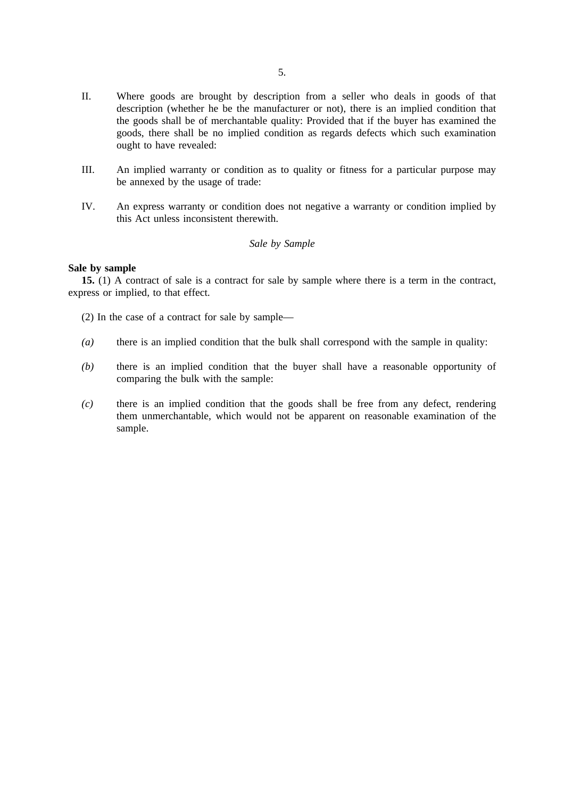- II. Where goods are brought by description from a seller who deals in goods of that description (whether he be the manufacturer or not), there is an implied condition that the goods shall be of merchantable quality: Provided that if the buyer has examined the goods, there shall be no implied condition as regards defects which such examination ought to have revealed:
- III. An implied warranty or condition as to quality or fitness for a particular purpose may be annexed by the usage of trade:
- IV. An express warranty or condition does not negative a warranty or condition implied by this Act unless inconsistent therewith.

## *Sale by Sample*

## **Sale by sample**

**15.** (1) A contract of sale is a contract for sale by sample where there is a term in the contract, express or implied, to that effect.

(2) In the case of a contract for sale by sample—

- *(a)* there is an implied condition that the bulk shall correspond with the sample in quality:
- *(b)* there is an implied condition that the buyer shall have a reasonable opportunity of comparing the bulk with the sample:
- *(c)* there is an implied condition that the goods shall be free from any defect, rendering them unmerchantable, which would not be apparent on reasonable examination of the sample.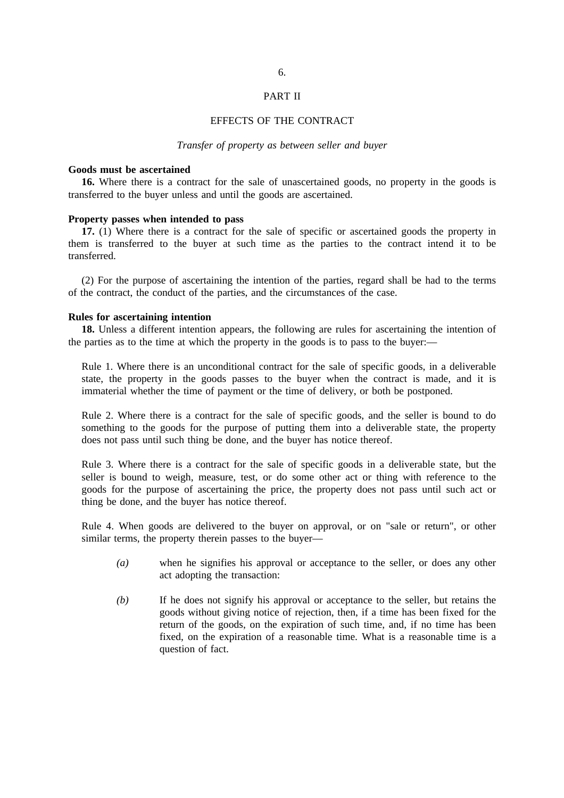## PART II

# EFFECTS OF THE CONTRACT

### *Transfer of property as between seller and buyer*

### **Goods must be ascertained**

**16.** Where there is a contract for the sale of unascertained goods, no property in the goods is transferred to the buyer unless and until the goods are ascertained.

## **Property passes when intended to pass**

**17.** (1) Where there is a contract for the sale of specific or ascertained goods the property in them is transferred to the buyer at such time as the parties to the contract intend it to be transferred.

(2) For the purpose of ascertaining the intention of the parties, regard shall be had to the terms of the contract, the conduct of the parties, and the circumstances of the case.

## **Rules for ascertaining intention**

**18.** Unless a different intention appears, the following are rules for ascertaining the intention of the parties as to the time at which the property in the goods is to pass to the buyer:—

Rule 1. Where there is an unconditional contract for the sale of specific goods, in a deliverable state, the property in the goods passes to the buyer when the contract is made, and it is immaterial whether the time of payment or the time of delivery, or both be postponed.

Rule 2. Where there is a contract for the sale of specific goods, and the seller is bound to do something to the goods for the purpose of putting them into a deliverable state, the property does not pass until such thing be done, and the buyer has notice thereof.

Rule 3. Where there is a contract for the sale of specific goods in a deliverable state, but the seller is bound to weigh, measure, test, or do some other act or thing with reference to the goods for the purpose of ascertaining the price, the property does not pass until such act or thing be done, and the buyer has notice thereof.

Rule 4. When goods are delivered to the buyer on approval, or on "sale or return", or other similar terms, the property therein passes to the buyer—

- *(a)* when he signifies his approval or acceptance to the seller, or does any other act adopting the transaction:
- *(b)* If he does not signify his approval or acceptance to the seller, but retains the goods without giving notice of rejection, then, if a time has been fixed for the return of the goods, on the expiration of such time, and, if no time has been fixed, on the expiration of a reasonable time. What is a reasonable time is a question of fact.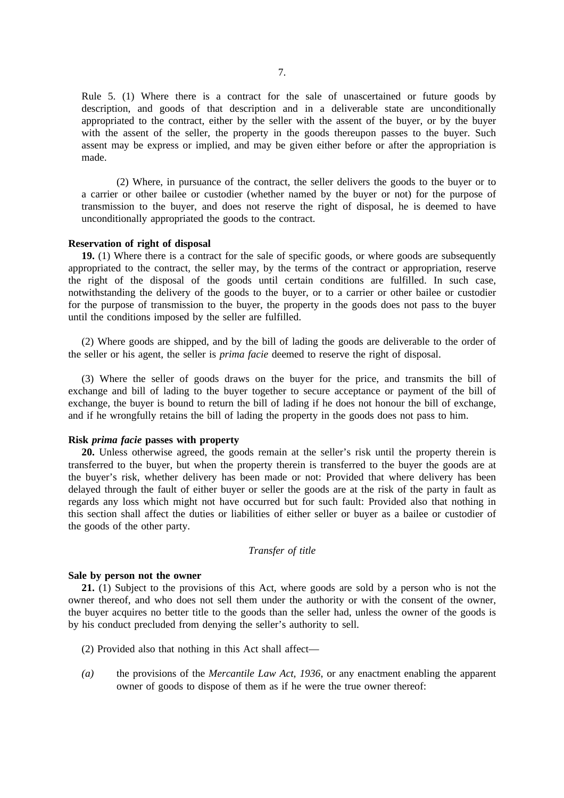Rule 5. (1) Where there is a contract for the sale of unascertained or future goods by description, and goods of that description and in a deliverable state are unconditionally appropriated to the contract, either by the seller with the assent of the buyer, or by the buyer with the assent of the seller, the property in the goods thereupon passes to the buyer. Such assent may be express or implied, and may be given either before or after the appropriation is made.

(2) Where, in pursuance of the contract, the seller delivers the goods to the buyer or to a carrier or other bailee or custodier (whether named by the buyer or not) for the purpose of transmission to the buyer, and does not reserve the right of disposal, he is deemed to have unconditionally appropriated the goods to the contract.

## **Reservation of right of disposal**

**19.** (1) Where there is a contract for the sale of specific goods, or where goods are subsequently appropriated to the contract, the seller may, by the terms of the contract or appropriation, reserve the right of the disposal of the goods until certain conditions are fulfilled. In such case, notwithstanding the delivery of the goods to the buyer, or to a carrier or other bailee or custodier for the purpose of transmission to the buyer, the property in the goods does not pass to the buyer until the conditions imposed by the seller are fulfilled.

(2) Where goods are shipped, and by the bill of lading the goods are deliverable to the order of the seller or his agent, the seller is *prima facie* deemed to reserve the right of disposal.

(3) Where the seller of goods draws on the buyer for the price, and transmits the bill of exchange and bill of lading to the buyer together to secure acceptance or payment of the bill of exchange, the buyer is bound to return the bill of lading if he does not honour the bill of exchange, and if he wrongfully retains the bill of lading the property in the goods does not pass to him.

## **Risk** *prima facie* **passes with property**

**20.** Unless otherwise agreed, the goods remain at the seller's risk until the property therein is transferred to the buyer, but when the property therein is transferred to the buyer the goods are at the buyer's risk, whether delivery has been made or not: Provided that where delivery has been delayed through the fault of either buyer or seller the goods are at the risk of the party in fault as regards any loss which might not have occurred but for such fault: Provided also that nothing in this section shall affect the duties or liabilities of either seller or buyer as a bailee or custodier of the goods of the other party.

## *Transfer of title*

## **Sale by person not the owner**

**21.** (1) Subject to the provisions of this Act, where goods are sold by a person who is not the owner thereof, and who does not sell them under the authority or with the consent of the owner, the buyer acquires no better title to the goods than the seller had, unless the owner of the goods is by his conduct precluded from denying the seller's authority to sell.

- (2) Provided also that nothing in this Act shall affect—
- *(a)* the provisions of the *Mercantile Law Act, 1936*, or any enactment enabling the apparent owner of goods to dispose of them as if he were the true owner thereof: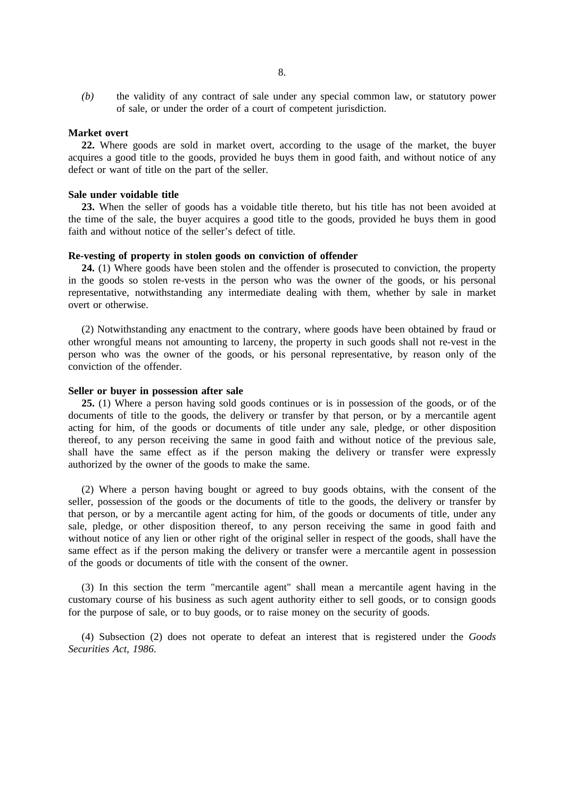*(b)* the validity of any contract of sale under any special common law, or statutory power of sale, or under the order of a court of competent jurisdiction.

### **Market overt**

**22.** Where goods are sold in market overt, according to the usage of the market, the buyer acquires a good title to the goods, provided he buys them in good faith, and without notice of any defect or want of title on the part of the seller.

## **Sale under voidable title**

23. When the seller of goods has a voidable title thereto, but his title has not been avoided at the time of the sale, the buyer acquires a good title to the goods, provided he buys them in good faith and without notice of the seller's defect of title.

## **Re-vesting of property in stolen goods on conviction of offender**

**24.** (1) Where goods have been stolen and the offender is prosecuted to conviction, the property in the goods so stolen re-vests in the person who was the owner of the goods, or his personal representative, notwithstanding any intermediate dealing with them, whether by sale in market overt or otherwise.

(2) Notwithstanding any enactment to the contrary, where goods have been obtained by fraud or other wrongful means not amounting to larceny, the property in such goods shall not re-vest in the person who was the owner of the goods, or his personal representative, by reason only of the conviction of the offender.

### **Seller or buyer in possession after sale**

**25.** (1) Where a person having sold goods continues or is in possession of the goods, or of the documents of title to the goods, the delivery or transfer by that person, or by a mercantile agent acting for him, of the goods or documents of title under any sale, pledge, or other disposition thereof, to any person receiving the same in good faith and without notice of the previous sale, shall have the same effect as if the person making the delivery or transfer were expressly authorized by the owner of the goods to make the same.

(2) Where a person having bought or agreed to buy goods obtains, with the consent of the seller, possession of the goods or the documents of title to the goods, the delivery or transfer by that person, or by a mercantile agent acting for him, of the goods or documents of title, under any sale, pledge, or other disposition thereof, to any person receiving the same in good faith and without notice of any lien or other right of the original seller in respect of the goods, shall have the same effect as if the person making the delivery or transfer were a mercantile agent in possession of the goods or documents of title with the consent of the owner.

(3) In this section the term "mercantile agent" shall mean a mercantile agent having in the customary course of his business as such agent authority either to sell goods, or to consign goods for the purpose of sale, or to buy goods, or to raise money on the security of goods.

(4) Subsection (2) does not operate to defeat an interest that is registered under the *Goods Securities Act, 1986*.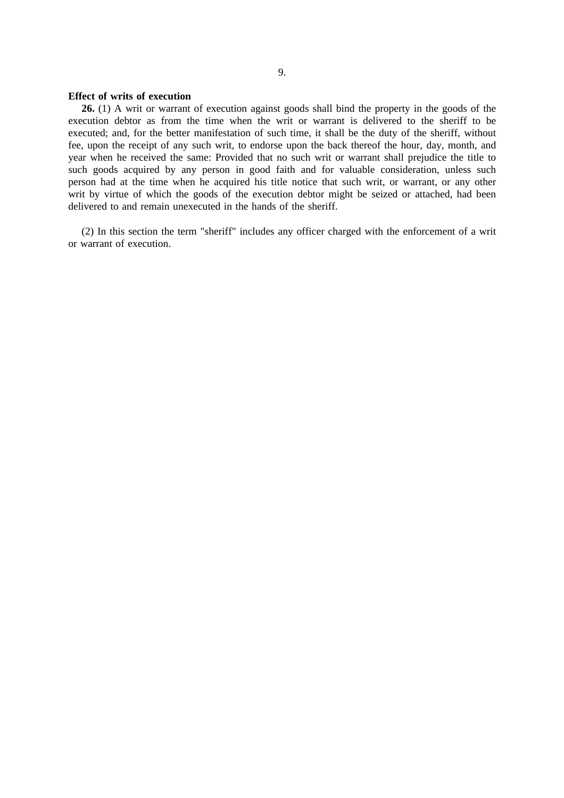## **Effect of writs of execution**

**26.** (1) A writ or warrant of execution against goods shall bind the property in the goods of the execution debtor as from the time when the writ or warrant is delivered to the sheriff to be executed; and, for the better manifestation of such time, it shall be the duty of the sheriff, without fee, upon the receipt of any such writ, to endorse upon the back thereof the hour, day, month, and year when he received the same: Provided that no such writ or warrant shall prejudice the title to such goods acquired by any person in good faith and for valuable consideration, unless such person had at the time when he acquired his title notice that such writ, or warrant, or any other writ by virtue of which the goods of the execution debtor might be seized or attached, had been delivered to and remain unexecuted in the hands of the sheriff.

(2) In this section the term "sheriff" includes any officer charged with the enforcement of a writ or warrant of execution.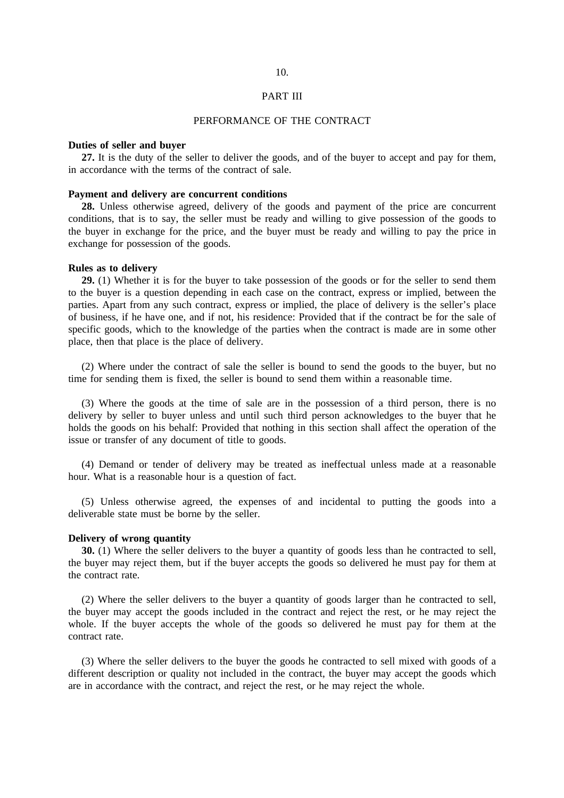#### PART III

## PERFORMANCE OF THE CONTRACT

### **Duties of seller and buyer**

**27.** It is the duty of the seller to deliver the goods, and of the buyer to accept and pay for them, in accordance with the terms of the contract of sale.

### **Payment and delivery are concurrent conditions**

**28.** Unless otherwise agreed, delivery of the goods and payment of the price are concurrent conditions, that is to say, the seller must be ready and willing to give possession of the goods to the buyer in exchange for the price, and the buyer must be ready and willing to pay the price in exchange for possession of the goods.

### **Rules as to delivery**

**29.** (1) Whether it is for the buyer to take possession of the goods or for the seller to send them to the buyer is a question depending in each case on the contract, express or implied, between the parties. Apart from any such contract, express or implied, the place of delivery is the seller's place of business, if he have one, and if not, his residence: Provided that if the contract be for the sale of specific goods, which to the knowledge of the parties when the contract is made are in some other place, then that place is the place of delivery.

(2) Where under the contract of sale the seller is bound to send the goods to the buyer, but no time for sending them is fixed, the seller is bound to send them within a reasonable time.

(3) Where the goods at the time of sale are in the possession of a third person, there is no delivery by seller to buyer unless and until such third person acknowledges to the buyer that he holds the goods on his behalf: Provided that nothing in this section shall affect the operation of the issue or transfer of any document of title to goods.

(4) Demand or tender of delivery may be treated as ineffectual unless made at a reasonable hour. What is a reasonable hour is a question of fact.

(5) Unless otherwise agreed, the expenses of and incidental to putting the goods into a deliverable state must be borne by the seller.

# **Delivery of wrong quantity**

**30.** (1) Where the seller delivers to the buyer a quantity of goods less than he contracted to sell, the buyer may reject them, but if the buyer accepts the goods so delivered he must pay for them at the contract rate.

(2) Where the seller delivers to the buyer a quantity of goods larger than he contracted to sell, the buyer may accept the goods included in the contract and reject the rest, or he may reject the whole. If the buyer accepts the whole of the goods so delivered he must pay for them at the contract rate.

(3) Where the seller delivers to the buyer the goods he contracted to sell mixed with goods of a different description or quality not included in the contract, the buyer may accept the goods which are in accordance with the contract, and reject the rest, or he may reject the whole.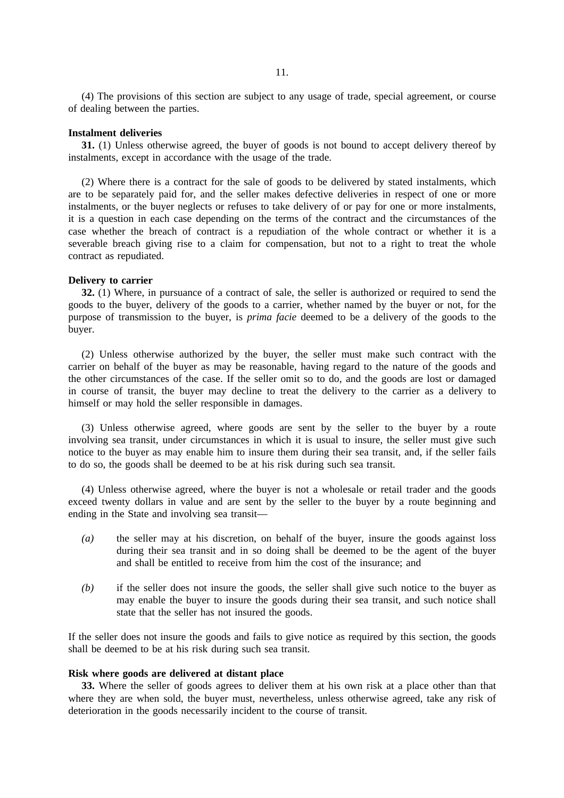(4) The provisions of this section are subject to any usage of trade, special agreement, or course of dealing between the parties.

## **Instalment deliveries**

**31.** (1) Unless otherwise agreed, the buyer of goods is not bound to accept delivery thereof by instalments, except in accordance with the usage of the trade.

(2) Where there is a contract for the sale of goods to be delivered by stated instalments, which are to be separately paid for, and the seller makes defective deliveries in respect of one or more instalments, or the buyer neglects or refuses to take delivery of or pay for one or more instalments, it is a question in each case depending on the terms of the contract and the circumstances of the case whether the breach of contract is a repudiation of the whole contract or whether it is a severable breach giving rise to a claim for compensation, but not to a right to treat the whole contract as repudiated.

## **Delivery to carrier**

**32.** (1) Where, in pursuance of a contract of sale, the seller is authorized or required to send the goods to the buyer, delivery of the goods to a carrier, whether named by the buyer or not, for the purpose of transmission to the buyer, is *prima facie* deemed to be a delivery of the goods to the buyer.

(2) Unless otherwise authorized by the buyer, the seller must make such contract with the carrier on behalf of the buyer as may be reasonable, having regard to the nature of the goods and the other circumstances of the case. If the seller omit so to do, and the goods are lost or damaged in course of transit, the buyer may decline to treat the delivery to the carrier as a delivery to himself or may hold the seller responsible in damages.

(3) Unless otherwise agreed, where goods are sent by the seller to the buyer by a route involving sea transit, under circumstances in which it is usual to insure, the seller must give such notice to the buyer as may enable him to insure them during their sea transit, and, if the seller fails to do so, the goods shall be deemed to be at his risk during such sea transit.

(4) Unless otherwise agreed, where the buyer is not a wholesale or retail trader and the goods exceed twenty dollars in value and are sent by the seller to the buyer by a route beginning and ending in the State and involving sea transit—

- *(a)* the seller may at his discretion, on behalf of the buyer, insure the goods against loss during their sea transit and in so doing shall be deemed to be the agent of the buyer and shall be entitled to receive from him the cost of the insurance; and
- *(b)* if the seller does not insure the goods, the seller shall give such notice to the buyer as may enable the buyer to insure the goods during their sea transit, and such notice shall state that the seller has not insured the goods.

If the seller does not insure the goods and fails to give notice as required by this section, the goods shall be deemed to be at his risk during such sea transit.

# **Risk where goods are delivered at distant place**

**33.** Where the seller of goods agrees to deliver them at his own risk at a place other than that where they are when sold, the buyer must, nevertheless, unless otherwise agreed, take any risk of deterioration in the goods necessarily incident to the course of transit.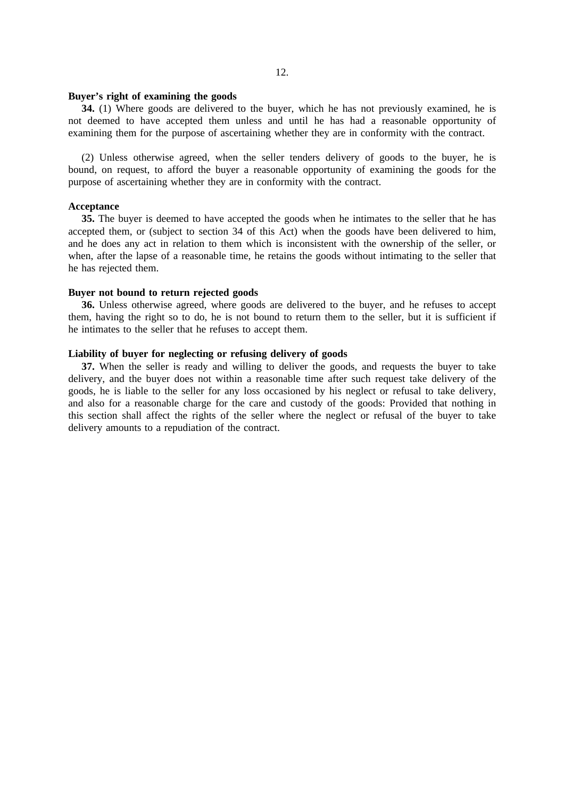### **Buyer's right of examining the goods**

**34.** (1) Where goods are delivered to the buyer, which he has not previously examined, he is not deemed to have accepted them unless and until he has had a reasonable opportunity of examining them for the purpose of ascertaining whether they are in conformity with the contract.

(2) Unless otherwise agreed, when the seller tenders delivery of goods to the buyer, he is bound, on request, to afford the buyer a reasonable opportunity of examining the goods for the purpose of ascertaining whether they are in conformity with the contract.

## **Acceptance**

**35.** The buyer is deemed to have accepted the goods when he intimates to the seller that he has accepted them, or (subject to section 34 of this Act) when the goods have been delivered to him, and he does any act in relation to them which is inconsistent with the ownership of the seller, or when, after the lapse of a reasonable time, he retains the goods without intimating to the seller that he has rejected them.

### **Buyer not bound to return rejected goods**

**36.** Unless otherwise agreed, where goods are delivered to the buyer, and he refuses to accept them, having the right so to do, he is not bound to return them to the seller, but it is sufficient if he intimates to the seller that he refuses to accept them.

## **Liability of buyer for neglecting or refusing delivery of goods**

**37.** When the seller is ready and willing to deliver the goods, and requests the buyer to take delivery, and the buyer does not within a reasonable time after such request take delivery of the goods, he is liable to the seller for any loss occasioned by his neglect or refusal to take delivery, and also for a reasonable charge for the care and custody of the goods: Provided that nothing in this section shall affect the rights of the seller where the neglect or refusal of the buyer to take delivery amounts to a repudiation of the contract.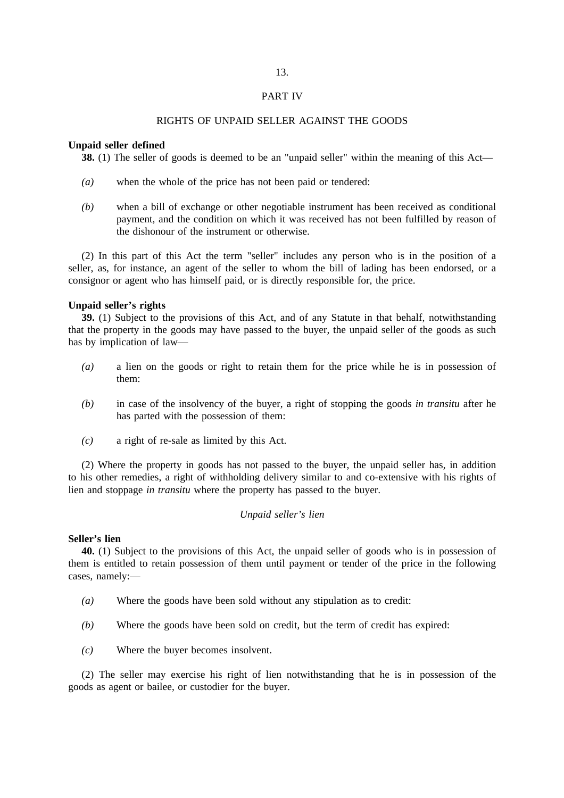## PART IV

# RIGHTS OF UNPAID SELLER AGAINST THE GOODS

## **Unpaid seller defined**

**38.** (1) The seller of goods is deemed to be an "unpaid seller" within the meaning of this Act—

- *(a)* when the whole of the price has not been paid or tendered:
- *(b)* when a bill of exchange or other negotiable instrument has been received as conditional payment, and the condition on which it was received has not been fulfilled by reason of the dishonour of the instrument or otherwise.

(2) In this part of this Act the term "seller" includes any person who is in the position of a seller, as, for instance, an agent of the seller to whom the bill of lading has been endorsed, or a consignor or agent who has himself paid, or is directly responsible for, the price.

## **Unpaid seller's rights**

**39.** (1) Subject to the provisions of this Act, and of any Statute in that behalf, notwithstanding that the property in the goods may have passed to the buyer, the unpaid seller of the goods as such has by implication of law—

- *(a)* a lien on the goods or right to retain them for the price while he is in possession of them:
- *(b)* in case of the insolvency of the buyer, a right of stopping the goods *in transitu* after he has parted with the possession of them:
- *(c)* a right of re-sale as limited by this Act.

(2) Where the property in goods has not passed to the buyer, the unpaid seller has, in addition to his other remedies, a right of withholding delivery similar to and co-extensive with his rights of lien and stoppage *in transitu* where the property has passed to the buyer.

## *Unpaid seller's lien*

## **Seller's lien**

**40.** (1) Subject to the provisions of this Act, the unpaid seller of goods who is in possession of them is entitled to retain possession of them until payment or tender of the price in the following cases, namely:—

- *(a)* Where the goods have been sold without any stipulation as to credit:
- *(b)* Where the goods have been sold on credit, but the term of credit has expired:
- *(c)* Where the buyer becomes insolvent.

(2) The seller may exercise his right of lien notwithstanding that he is in possession of the goods as agent or bailee, or custodier for the buyer.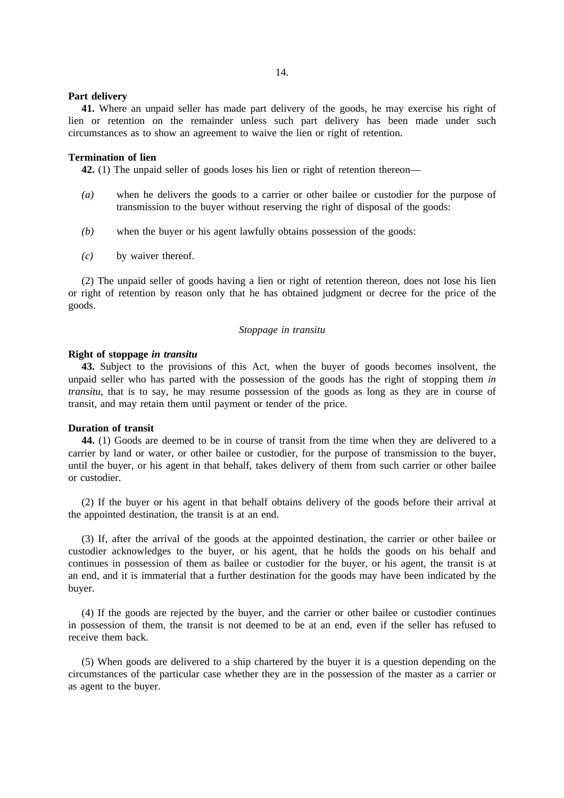## **Part delivery**

**41.** Where an unpaid seller has made part delivery of the goods, he may exercise his right of lien or retention on the remainder unless such part delivery has been made under such circumstances as to show an agreement to waive the lien or right of retention.

### **Termination of lien**

**42.** (1) The unpaid seller of goods loses his lien or right of retention thereon—

- *(a)* when he delivers the goods to a carrier or other bailee or custodier for the purpose of transmission to the buyer without reserving the right of disposal of the goods:
- *(b)* when the buyer or his agent lawfully obtains possession of the goods:
- *(c)* by waiver thereof.

(2) The unpaid seller of goods having a lien or right of retention thereon, does not lose his lien or right of retention by reason only that he has obtained judgment or decree for the price of the goods.

### *Stoppage in transitu*

## **Right of stoppage** *in transitu*

**43.** Subject to the provisions of this Act, when the buyer of goods becomes insolvent, the unpaid seller who has parted with the possession of the goods has the right of stopping them *in transitu*, that is to say, he may resume possession of the goods as long as they are in course of transit, and may retain them until payment or tender of the price.

### **Duration of transit**

**44.** (1) Goods are deemed to be in course of transit from the time when they are delivered to a carrier by land or water, or other bailee or custodier, for the purpose of transmission to the buyer, until the buyer, or his agent in that behalf, takes delivery of them from such carrier or other bailee or custodier.

(2) If the buyer or his agent in that behalf obtains delivery of the goods before their arrival at the appointed destination, the transit is at an end.

(3) If, after the arrival of the goods at the appointed destination, the carrier or other bailee or custodier acknowledges to the buyer, or his agent, that he holds the goods on his behalf and continues in possession of them as bailee or custodier for the buyer, or his agent, the transit is at an end, and it is immaterial that a further destination for the goods may have been indicated by the buyer.

(4) If the goods are rejected by the buyer, and the carrier or other bailee or custodier continues in possession of them, the transit is not deemed to be at an end, even if the seller has refused to receive them back.

(5) When goods are delivered to a ship chartered by the buyer it is a question depending on the circumstances of the particular case whether they are in the possession of the master as a carrier or as agent to the buyer.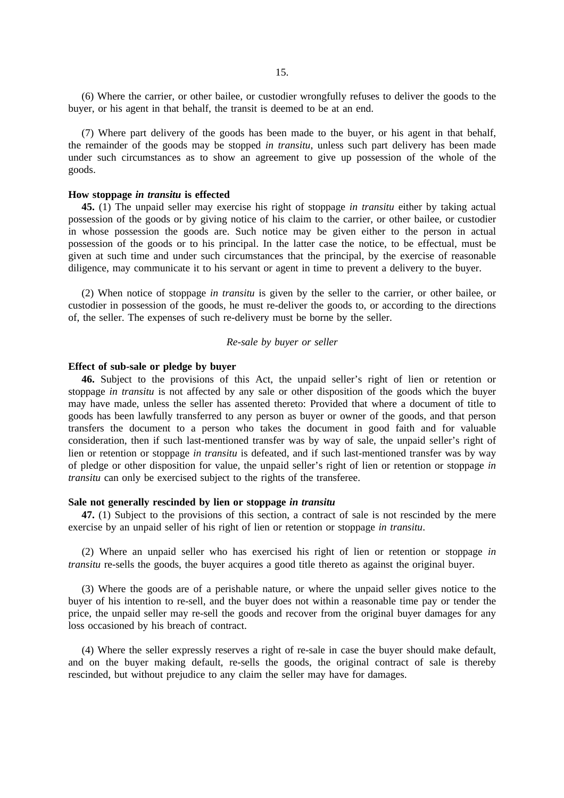(6) Where the carrier, or other bailee, or custodier wrongfully refuses to deliver the goods to the buyer, or his agent in that behalf, the transit is deemed to be at an end.

(7) Where part delivery of the goods has been made to the buyer, or his agent in that behalf, the remainder of the goods may be stopped *in transitu*, unless such part delivery has been made under such circumstances as to show an agreement to give up possession of the whole of the goods.

## **How stoppage** *in transitu* **is effected**

**45.** (1) The unpaid seller may exercise his right of stoppage *in transitu* either by taking actual possession of the goods or by giving notice of his claim to the carrier, or other bailee, or custodier in whose possession the goods are. Such notice may be given either to the person in actual possession of the goods or to his principal. In the latter case the notice, to be effectual, must be given at such time and under such circumstances that the principal, by the exercise of reasonable diligence, may communicate it to his servant or agent in time to prevent a delivery to the buyer.

(2) When notice of stoppage *in transitu* is given by the seller to the carrier, or other bailee, or custodier in possession of the goods, he must re-deliver the goods to, or according to the directions of, the seller. The expenses of such re-delivery must be borne by the seller.

## *Re-sale by buyer or seller*

### **Effect of sub-sale or pledge by buyer**

**46.** Subject to the provisions of this Act, the unpaid seller's right of lien or retention or stoppage *in transitu* is not affected by any sale or other disposition of the goods which the buyer may have made, unless the seller has assented thereto: Provided that where a document of title to goods has been lawfully transferred to any person as buyer or owner of the goods, and that person transfers the document to a person who takes the document in good faith and for valuable consideration, then if such last-mentioned transfer was by way of sale, the unpaid seller's right of lien or retention or stoppage *in transitu* is defeated, and if such last-mentioned transfer was by way of pledge or other disposition for value, the unpaid seller's right of lien or retention or stoppage *in transitu* can only be exercised subject to the rights of the transferee.

## **Sale not generally rescinded by lien or stoppage** *in transitu*

**47.** (1) Subject to the provisions of this section, a contract of sale is not rescinded by the mere exercise by an unpaid seller of his right of lien or retention or stoppage *in transitu*.

(2) Where an unpaid seller who has exercised his right of lien or retention or stoppage *in transitu* re-sells the goods, the buyer acquires a good title thereto as against the original buyer.

(3) Where the goods are of a perishable nature, or where the unpaid seller gives notice to the buyer of his intention to re-sell, and the buyer does not within a reasonable time pay or tender the price, the unpaid seller may re-sell the goods and recover from the original buyer damages for any loss occasioned by his breach of contract.

(4) Where the seller expressly reserves a right of re-sale in case the buyer should make default, and on the buyer making default, re-sells the goods, the original contract of sale is thereby rescinded, but without prejudice to any claim the seller may have for damages.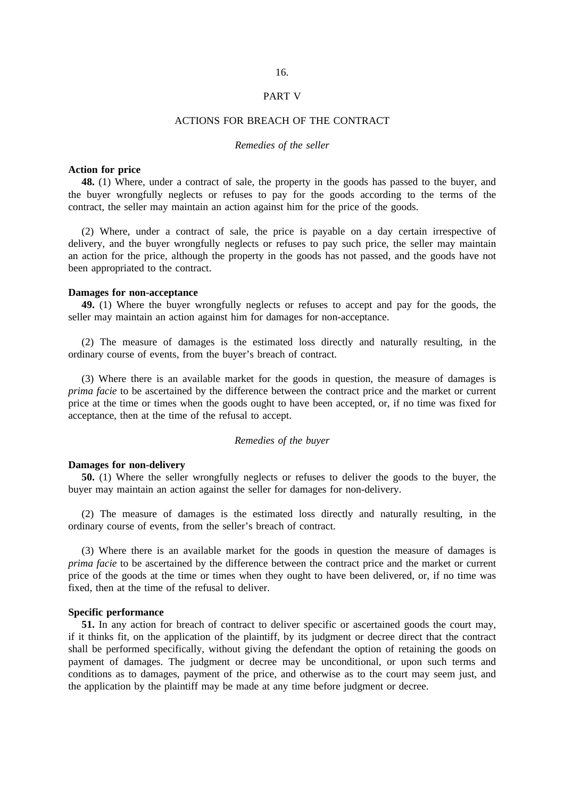## PART V

# ACTIONS FOR BREACH OF THE CONTRACT

## *Remedies of the seller*

## **Action for price**

**48.** (1) Where, under a contract of sale, the property in the goods has passed to the buyer, and the buyer wrongfully neglects or refuses to pay for the goods according to the terms of the contract, the seller may maintain an action against him for the price of the goods.

(2) Where, under a contract of sale, the price is payable on a day certain irrespective of delivery, and the buyer wrongfully neglects or refuses to pay such price, the seller may maintain an action for the price, although the property in the goods has not passed, and the goods have not been appropriated to the contract.

### **Damages for non-acceptance**

**49.** (1) Where the buyer wrongfully neglects or refuses to accept and pay for the goods, the seller may maintain an action against him for damages for non-acceptance.

(2) The measure of damages is the estimated loss directly and naturally resulting, in the ordinary course of events, from the buyer's breach of contract.

(3) Where there is an available market for the goods in question, the measure of damages is *prima facie* to be ascertained by the difference between the contract price and the market or current price at the time or times when the goods ought to have been accepted, or, if no time was fixed for acceptance, then at the time of the refusal to accept.

## *Remedies of the buyer*

### **Damages for non-delivery**

**50.** (1) Where the seller wrongfully neglects or refuses to deliver the goods to the buyer, the buyer may maintain an action against the seller for damages for non-delivery.

(2) The measure of damages is the estimated loss directly and naturally resulting, in the ordinary course of events, from the seller's breach of contract.

(3) Where there is an available market for the goods in question the measure of damages is *prima facie* to be ascertained by the difference between the contract price and the market or current price of the goods at the time or times when they ought to have been delivered, or, if no time was fixed, then at the time of the refusal to deliver.

### **Specific performance**

**51.** In any action for breach of contract to deliver specific or ascertained goods the court may, if it thinks fit, on the application of the plaintiff, by its judgment or decree direct that the contract shall be performed specifically, without giving the defendant the option of retaining the goods on payment of damages. The judgment or decree may be unconditional, or upon such terms and conditions as to damages, payment of the price, and otherwise as to the court may seem just, and the application by the plaintiff may be made at any time before judgment or decree.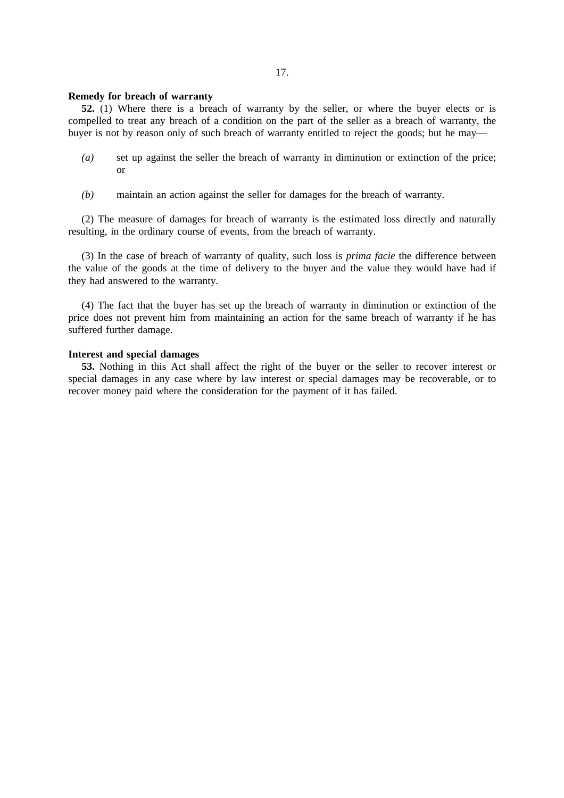## **Remedy for breach of warranty**

**52.** (1) Where there is a breach of warranty by the seller, or where the buyer elects or is compelled to treat any breach of a condition on the part of the seller as a breach of warranty, the buyer is not by reason only of such breach of warranty entitled to reject the goods; but he may—

- *(a)* set up against the seller the breach of warranty in diminution or extinction of the price; or
- *(b)* maintain an action against the seller for damages for the breach of warranty.

(2) The measure of damages for breach of warranty is the estimated loss directly and naturally resulting, in the ordinary course of events, from the breach of warranty.

(3) In the case of breach of warranty of quality, such loss is *prima facie* the difference between the value of the goods at the time of delivery to the buyer and the value they would have had if they had answered to the warranty.

(4) The fact that the buyer has set up the breach of warranty in diminution or extinction of the price does not prevent him from maintaining an action for the same breach of warranty if he has suffered further damage.

## **Interest and special damages**

**53.** Nothing in this Act shall affect the right of the buyer or the seller to recover interest or special damages in any case where by law interest or special damages may be recoverable, or to recover money paid where the consideration for the payment of it has failed.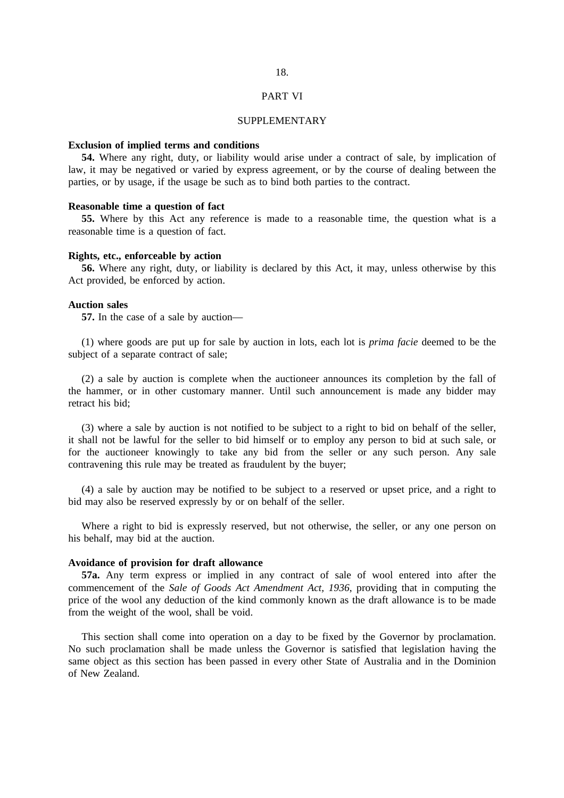### PART VI

## SUPPLEMENTARY

### **Exclusion of implied terms and conditions**

**54.** Where any right, duty, or liability would arise under a contract of sale, by implication of law, it may be negatived or varied by express agreement, or by the course of dealing between the parties, or by usage, if the usage be such as to bind both parties to the contract.

## **Reasonable time a question of fact**

**55.** Where by this Act any reference is made to a reasonable time, the question what is a reasonable time is a question of fact.

## **Rights, etc., enforceable by action**

**56.** Where any right, duty, or liability is declared by this Act, it may, unless otherwise by this Act provided, be enforced by action.

## **Auction sales**

**57.** In the case of a sale by auction—

(1) where goods are put up for sale by auction in lots, each lot is *prima facie* deemed to be the subject of a separate contract of sale;

(2) a sale by auction is complete when the auctioneer announces its completion by the fall of the hammer, or in other customary manner. Until such announcement is made any bidder may retract his bid;

(3) where a sale by auction is not notified to be subject to a right to bid on behalf of the seller, it shall not be lawful for the seller to bid himself or to employ any person to bid at such sale, or for the auctioneer knowingly to take any bid from the seller or any such person. Any sale contravening this rule may be treated as fraudulent by the buyer;

(4) a sale by auction may be notified to be subject to a reserved or upset price, and a right to bid may also be reserved expressly by or on behalf of the seller.

Where a right to bid is expressly reserved, but not otherwise, the seller, or any one person on his behalf, may bid at the auction.

### **Avoidance of provision for draft allowance**

**57a.** Any term express or implied in any contract of sale of wool entered into after the commencement of the *Sale of Goods Act Amendment Act, 1936*, providing that in computing the price of the wool any deduction of the kind commonly known as the draft allowance is to be made from the weight of the wool, shall be void.

This section shall come into operation on a day to be fixed by the Governor by proclamation. No such proclamation shall be made unless the Governor is satisfied that legislation having the same object as this section has been passed in every other State of Australia and in the Dominion of New Zealand.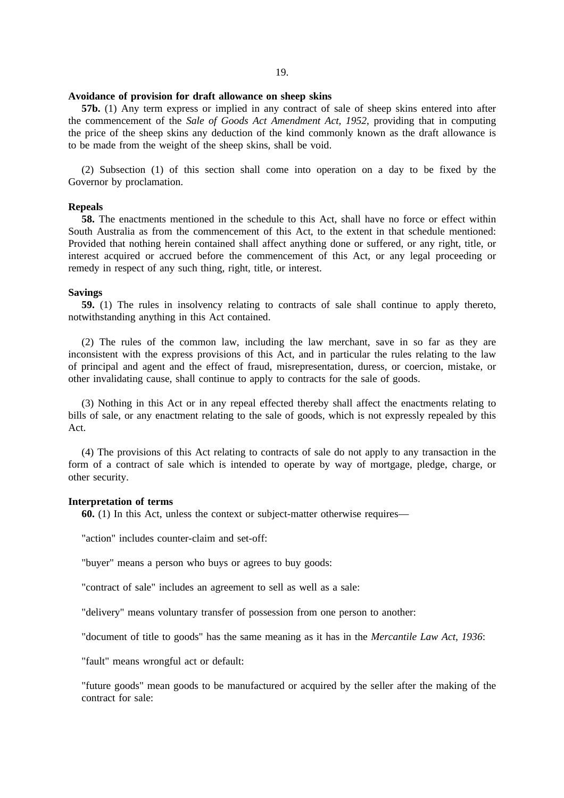### **Avoidance of provision for draft allowance on sheep skins**

**57b.** (1) Any term express or implied in any contract of sale of sheep skins entered into after the commencement of the *Sale of Goods Act Amendment Act, 1952*, providing that in computing the price of the sheep skins any deduction of the kind commonly known as the draft allowance is to be made from the weight of the sheep skins, shall be void.

(2) Subsection (1) of this section shall come into operation on a day to be fixed by the Governor by proclamation.

## **Repeals**

**58.** The enactments mentioned in the schedule to this Act, shall have no force or effect within South Australia as from the commencement of this Act, to the extent in that schedule mentioned: Provided that nothing herein contained shall affect anything done or suffered, or any right, title, or interest acquired or accrued before the commencement of this Act, or any legal proceeding or remedy in respect of any such thing, right, title, or interest.

### **Savings**

**59.** (1) The rules in insolvency relating to contracts of sale shall continue to apply thereto, notwithstanding anything in this Act contained.

(2) The rules of the common law, including the law merchant, save in so far as they are inconsistent with the express provisions of this Act, and in particular the rules relating to the law of principal and agent and the effect of fraud, misrepresentation, duress, or coercion, mistake, or other invalidating cause, shall continue to apply to contracts for the sale of goods.

(3) Nothing in this Act or in any repeal effected thereby shall affect the enactments relating to bills of sale, or any enactment relating to the sale of goods, which is not expressly repealed by this Act.

(4) The provisions of this Act relating to contracts of sale do not apply to any transaction in the form of a contract of sale which is intended to operate by way of mortgage, pledge, charge, or other security.

### **Interpretation of terms**

**60.** (1) In this Act, unless the context or subject-matter otherwise requires—

"action" includes counter-claim and set-off:

"buyer" means a person who buys or agrees to buy goods:

"contract of sale" includes an agreement to sell as well as a sale:

"delivery" means voluntary transfer of possession from one person to another:

"document of title to goods" has the same meaning as it has in the *Mercantile Law Act, 1936*:

"fault" means wrongful act or default:

"future goods" mean goods to be manufactured or acquired by the seller after the making of the contract for sale: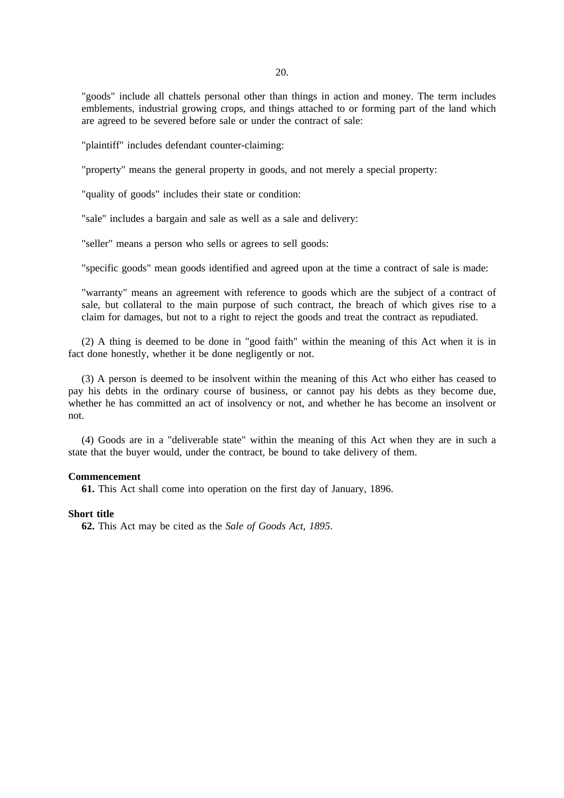20.

"goods" include all chattels personal other than things in action and money. The term includes emblements, industrial growing crops, and things attached to or forming part of the land which are agreed to be severed before sale or under the contract of sale:

"plaintiff" includes defendant counter-claiming:

"property" means the general property in goods, and not merely a special property:

"quality of goods" includes their state or condition:

"sale" includes a bargain and sale as well as a sale and delivery:

"seller" means a person who sells or agrees to sell goods:

"specific goods" mean goods identified and agreed upon at the time a contract of sale is made:

"warranty" means an agreement with reference to goods which are the subject of a contract of sale, but collateral to the main purpose of such contract, the breach of which gives rise to a claim for damages, but not to a right to reject the goods and treat the contract as repudiated.

(2) A thing is deemed to be done in "good faith" within the meaning of this Act when it is in fact done honestly, whether it be done negligently or not.

(3) A person is deemed to be insolvent within the meaning of this Act who either has ceased to pay his debts in the ordinary course of business, or cannot pay his debts as they become due, whether he has committed an act of insolvency or not, and whether he has become an insolvent or not.

(4) Goods are in a "deliverable state" within the meaning of this Act when they are in such a state that the buyer would, under the contract, be bound to take delivery of them.

## **Commencement**

**61.** This Act shall come into operation on the first day of January, 1896.

## **Short title**

**62.** This Act may be cited as the *Sale of Goods Act, 1895*.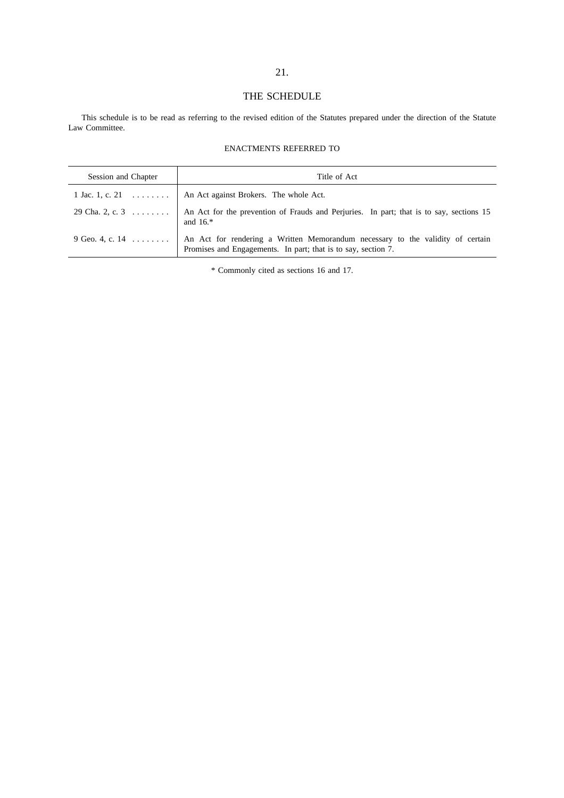# THE SCHEDULE

This schedule is to be read as referring to the revised edition of the Statutes prepared under the direction of the Statute Law Committee.

## ENACTMENTS REFERRED TO

| Session and Chapter      | Title of Act                                                                                                                                    |
|--------------------------|-------------------------------------------------------------------------------------------------------------------------------------------------|
|                          | 1 Jac. 1, c. 21   An Act against Brokers. The whole Act.                                                                                        |
|                          | 29 Cha. 2, c. 3    An Act for the prevention of Frauds and Perjuries. In part; that is to say, sections 15<br>and $16.*$                        |
| 9 Geo. 4, c. 14 $\ldots$ | An Act for rendering a Written Memorandum necessary to the validity of certain<br>Promises and Engagements. In part; that is to say, section 7. |

\* Commonly cited as sections 16 and 17.